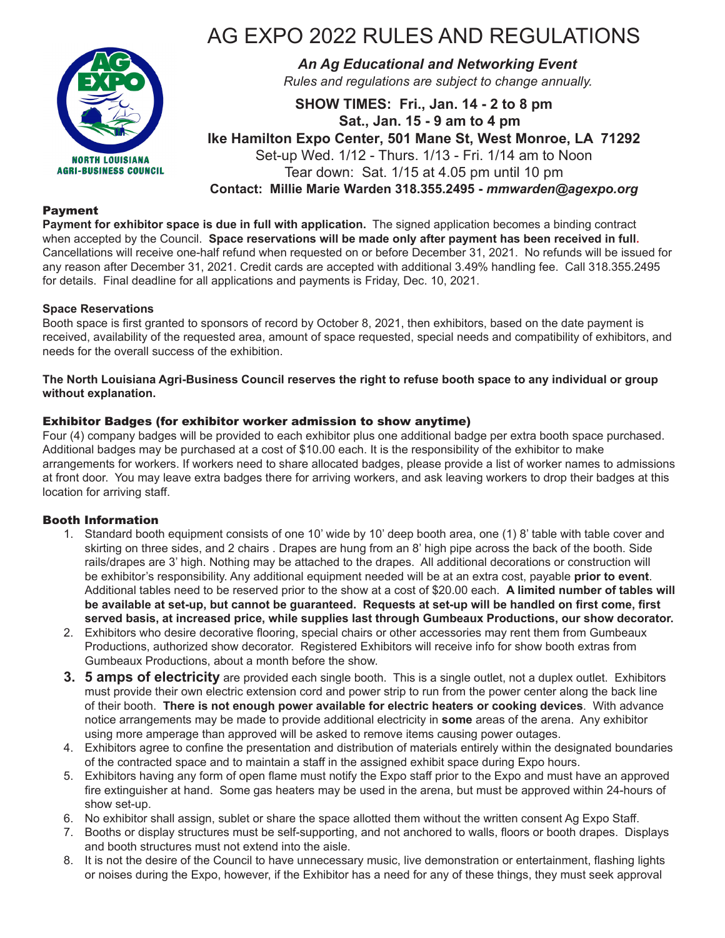

# AG EXPO 2022 RULES AND REGULATIONS

*An Ag Educational and Networking Event Rules and regulations are subject to change annually.*

**SHOW TIMES: Fri., Jan. 14 - 2 to 8 pm Sat., Jan. 15 - 9 am to 4 pm Ike Hamilton Expo Center, 501 Mane St, West Monroe, LA 71292** Set-up Wed. 1/12 - Thurs. 1/13 - Fri. 1/14 am to Noon Tear down: Sat. 1/15 at 4.05 pm until 10 pm **Contact: Millie Marie Warden 318.355.2495 -** *mmwarden@agexpo.org*

## Payment

**Payment for exhibitor space is due in full with application.** The signed application becomes a binding contract when accepted by the Council. **Space reservations will be made only after payment has been received in full.** Cancellations will receive one-half refund when requested on or before December 31, 2021. No refunds will be issued for any reason after December 31, 2021. Credit cards are accepted with additional 3.49% handling fee. Call 318.355.2495 for details. Final deadline for all applications and payments is Friday, Dec. 10, 2021.

## **Space Reservations**

Booth space is first granted to sponsors of record by October 8, 2021, then exhibitors, based on the date payment is received, availability of the requested area, amount of space requested, special needs and compatibility of exhibitors, and needs for the overall success of the exhibition.

**The North Louisiana Agri-Business Council reserves the right to refuse booth space to any individual or group without explanation.**

## Exhibitor Badges (for exhibitor worker admission to show anytime)

Four (4) company badges will be provided to each exhibitor plus one additional badge per extra booth space purchased. Additional badges may be purchased at a cost of \$10.00 each. It is the responsibility of the exhibitor to make arrangements for workers. If workers need to share allocated badges, please provide a list of worker names to admissions at front door. You may leave extra badges there for arriving workers, and ask leaving workers to drop their badges at this location for arriving staff.

## Booth Information

- 1. Standard booth equipment consists of one 10' wide by 10' deep booth area, one (1) 8' table with table cover and skirting on three sides, and 2 chairs . Drapes are hung from an 8' high pipe across the back of the booth. Side rails/drapes are 3' high. Nothing may be attached to the drapes. All additional decorations or construction will be exhibitor's responsibility. Any additional equipment needed will be at an extra cost, payable **prior to event**. Additional tables need to be reserved prior to the show at a cost of \$20.00 each. **A limited number of tables will be available at set-up, but cannot be guaranteed. Requests at set-up will be handled on first come, first served basis, at increased price, while supplies last through Gumbeaux Productions, our show decorator.**
- 2. Exhibitors who desire decorative flooring, special chairs or other accessories may rent them from Gumbeaux Productions, authorized show decorator. Registered Exhibitors will receive info for show booth extras from Gumbeaux Productions, about a month before the show.
- **3. 5 amps of electricity** are provided each single booth. This is a single outlet, not a duplex outlet. Exhibitors must provide their own electric extension cord and power strip to run from the power center along the back line of their booth. **There is not enough power available for electric heaters or cooking devices**. With advance notice arrangements may be made to provide additional electricity in **some** areas of the arena. Any exhibitor using more amperage than approved will be asked to remove items causing power outages.
- 4. Exhibitors agree to confine the presentation and distribution of materials entirely within the designated boundaries of the contracted space and to maintain a staff in the assigned exhibit space during Expo hours.
- 5. Exhibitors having any form of open flame must notify the Expo staff prior to the Expo and must have an approved fire extinguisher at hand. Some gas heaters may be used in the arena, but must be approved within 24-hours of show set-up.
- 6. No exhibitor shall assign, sublet or share the space allotted them without the written consent Ag Expo Staff.
- 7. Booths or display structures must be self-supporting, and not anchored to walls, floors or booth drapes. Displays and booth structures must not extend into the aisle.
- 8. It is not the desire of the Council to have unnecessary music, live demonstration or entertainment, flashing lights or noises during the Expo, however, if the Exhibitor has a need for any of these things, they must seek approval